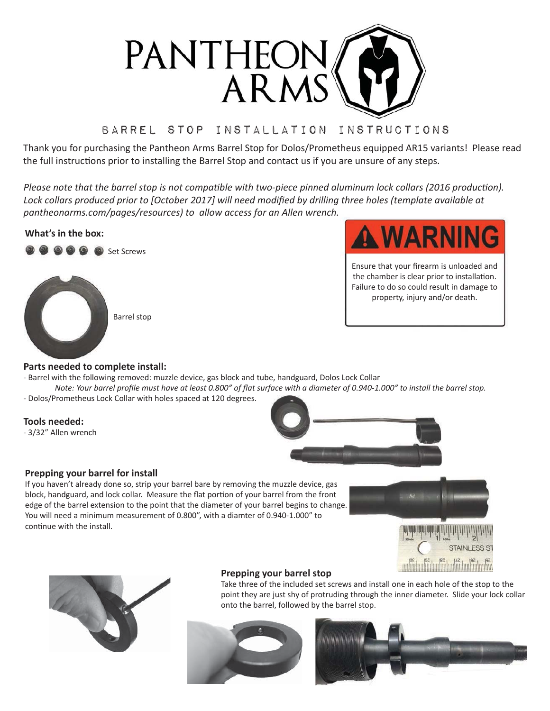

# Barrel stop Installation Instructions

Thank you for purchasing the Pantheon Arms Barrel Stop for Dolos/Prometheus equipped AR15 variants! Please read the full instructions prior to installing the Barrel Stop and contact us if you are unsure of any steps.

Please note that the barrel stop is not compatible with two-piece pinned aluminum lock collars (2016 production). Lock collars produced prior to [October 2017] will need modified by drilling three holes (template available at *pantheonarms.com/pages/resources)* to allow access for an Allen wrench.

# **What's in the box:**





Ensure that your firearm is unloaded and the chamber is clear prior to installation. Failure to do so could result in damage to property, injury and/or death.

# **Parts needed to complete install:**

- Barrel with the following removed: muzzle device, gas block and tube, handguard, Dolos Lock Collar

*Note: Your barrel profile must have at least 0.800" of flat surface with a diameter of 0.940-1.000" to install the barrel stop.* - Dolos/Prometheus Lock Collar with holes spaced at 120 degrees.

# **Tools needed:**

- 3/32" Allen wrench



# **Prepping your barrel for install**

If you haven't already done so, strip your barrel bare by removing the muzzle device, gas block, handguard, and lock collar. Measure the flat portion of your barrel from the front edge of the barrel extension to the point that the diameter of your barrel begins to change. You will need a minimum measurement of 0.800", with a diamter of 0.940-1.000" to continue with the install.





# **Prepping your barrel stop**

Take three of the included set screws and install one in each hole of the stop to the point they are just shy of protruding through the inner diameter. Slide your lock collar onto the barrel, followed by the barrel stop.